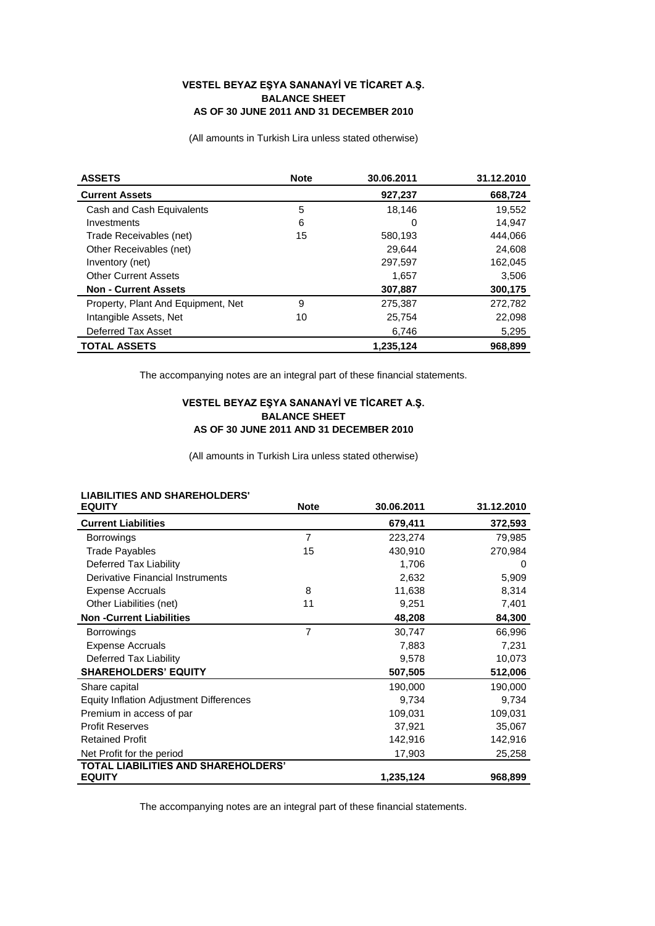#### **VESTEL BEYAZ EŞYA SANANAYİ VE TİCARET A.Ş. BALANCE SHEET AS OF 30 JUNE 2011 AND 31 DECEMBER 2010**

(All amounts in Turkish Lira unless stated otherwise)

| <b>ASSETS</b>                      | <b>Note</b> | 30.06.2011 | 31.12.2010 |
|------------------------------------|-------------|------------|------------|
| <b>Current Assets</b>              |             | 927,237    | 668,724    |
| Cash and Cash Equivalents          | 5           | 18,146     | 19,552     |
| Investments                        | 6           | 0          | 14.947     |
| Trade Receivables (net)            | 15          | 580,193    | 444.066    |
| Other Receivables (net)            |             | 29,644     | 24,608     |
| Inventory (net)                    |             | 297,597    | 162,045    |
| <b>Other Current Assets</b>        |             | 1,657      | 3,506      |
| <b>Non - Current Assets</b>        |             | 307,887    | 300,175    |
| Property, Plant And Equipment, Net | 9           | 275,387    | 272,782    |
| Intangible Assets, Net             | 10          | 25,754     | 22,098     |
| Deferred Tax Asset                 |             | 6,746      | 5,295      |
| <b>TOTAL ASSETS</b>                |             | 1,235,124  | 968.899    |

The accompanying notes are an integral part of these financial statements.

### **VESTEL BEYAZ EŞYA SANANAYİ VE TİCARET A.Ş. BALANCE SHEET AS OF 30 JUNE 2011 AND 31 DECEMBER 2010**

(All amounts in Turkish Lira unless stated otherwise)

# **LIABILITIES AND SHAREHOLDERS'**

| <b>EQUITY</b>                              | <b>Note</b>    | 30.06.2011 | 31.12.2010 |
|--------------------------------------------|----------------|------------|------------|
| <b>Current Liabilities</b>                 |                | 679,411    | 372,593    |
| <b>Borrowings</b>                          | $\overline{7}$ | 223,274    | 79,985     |
| Trade Payables                             | 15             | 430,910    | 270,984    |
| Deferred Tax Liability                     |                | 1,706      | 0          |
| Derivative Financial Instruments           |                | 2,632      | 5,909      |
| <b>Expense Accruals</b>                    | 8              | 11,638     | 8,314      |
| Other Liabilities (net)                    | 11             | 9,251      | 7,401      |
| <b>Non-Current Liabilities</b>             |                | 48,208     | 84,300     |
| <b>Borrowings</b>                          | 7              | 30,747     | 66,996     |
| <b>Expense Accruals</b>                    |                | 7,883      | 7,231      |
| Deferred Tax Liability                     |                | 9,578      | 10,073     |
| <b>SHAREHOLDERS' EQUITY</b>                |                | 507,505    | 512,006    |
| Share capital                              |                | 190,000    | 190,000    |
| Equity Inflation Adjustment Differences    |                | 9,734      | 9,734      |
| Premium in access of par                   |                | 109,031    | 109,031    |
| <b>Profit Reserves</b>                     |                | 37,921     | 35,067     |
| <b>Retained Profit</b>                     |                | 142,916    | 142,916    |
| Net Profit for the period                  |                | 17,903     | 25,258     |
| <b>TOTAL LIABILITIES AND SHAREHOLDERS'</b> |                |            |            |
| <b>EQUITY</b>                              |                | 1,235,124  | 968,899    |

The accompanying notes are an integral part of these financial statements.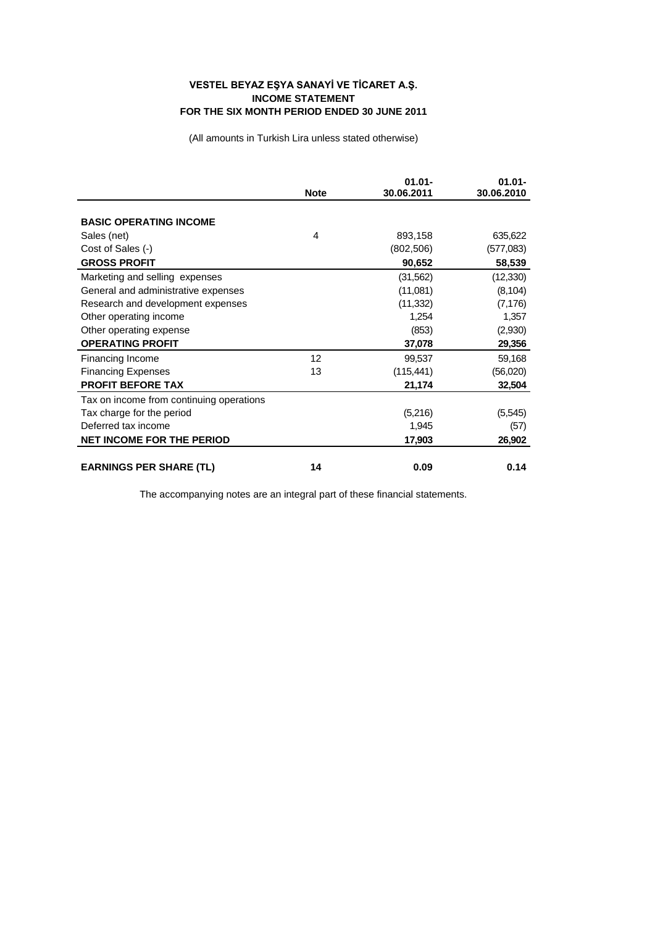## **VESTEL BEYAZ EŞYA SANAYİ VE TİCARET A.Ş. INCOME STATEMENT FOR THE SIX MONTH PERIOD ENDED 30 JUNE 2011**

(All amounts in Turkish Lira unless stated otherwise)

|                                          | <b>Note</b> | $01.01 -$<br>30.06.2011 | $01.01 -$<br>30.06.2010 |
|------------------------------------------|-------------|-------------------------|-------------------------|
|                                          |             |                         |                         |
| <b>BASIC OPERATING INCOME</b>            |             |                         |                         |
| Sales (net)                              | 4           | 893,158                 | 635,622                 |
| Cost of Sales (-)                        |             | (802, 506)              | (577,083)               |
| <b>GROSS PROFIT</b>                      |             | 90,652                  | 58,539                  |
| Marketing and selling expenses           |             | (31, 562)               | (12, 330)               |
| General and administrative expenses      |             | (11,081)                | (8, 104)                |
| Research and development expenses        |             | (11, 332)               | (7, 176)                |
| Other operating income                   |             | 1,254                   | 1,357                   |
| Other operating expense                  |             | (853)                   | (2,930)                 |
| <b>OPERATING PROFIT</b>                  |             | 37,078                  | 29,356                  |
| Financing Income                         | 12          | 99,537                  | 59,168                  |
| <b>Financing Expenses</b>                | 13          | (115, 441)              | (56,020)                |
| <b>PROFIT BEFORE TAX</b>                 |             | 21,174                  | 32,504                  |
| Tax on income from continuing operations |             |                         |                         |
| Tax charge for the period                |             | (5,216)                 | (5, 545)                |
| Deferred tax income                      |             | 1,945                   | (57)                    |
| <b>NET INCOME FOR THE PERIOD</b>         |             | 17,903                  | 26,902                  |
|                                          |             |                         |                         |
| <b>EARNINGS PER SHARE (TL)</b>           | 14          | 0.09                    | 0.14                    |

The accompanying notes are an integral part of these financial statements.